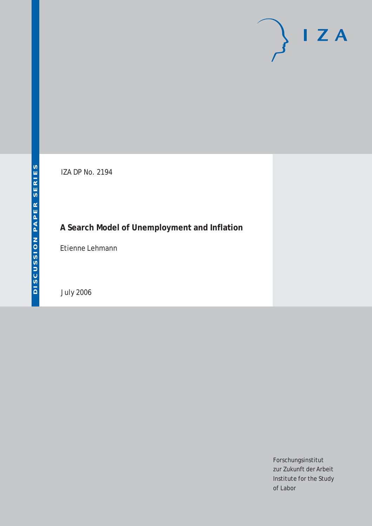# $I Z A$

IZA DP No. 2194

## **A Search Model of Unemployment and Inflation**

Etienne Lehmann

July 2006

Forschungsinstitut zur Zukunft der Arbeit Institute for the Study of Labor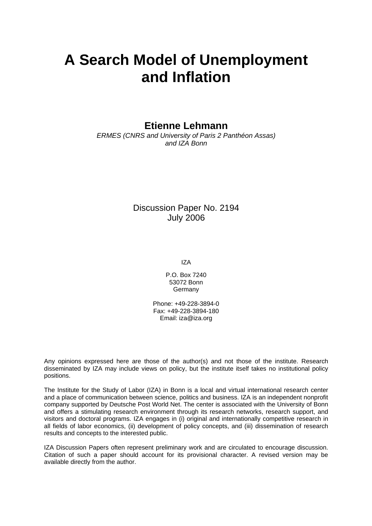## **A Search Model of Unemployment and Inflation**

**Etienne Lehmann** 

*ERMES (CNRS and University of Paris 2 Panthéon Assas) and IZA Bonn* 

> Discussion Paper No. 2194 July 2006

> > IZA

P.O. Box 7240 53072 Bonn **Germany** 

Phone: +49-228-3894-0 Fax: +49-228-3894-180 Email: [iza@iza.org](mailto:iza@iza.org)

Any opinions expressed here are those of the author(s) and not those of the institute. Research disseminated by IZA may include views on policy, but the institute itself takes no institutional policy positions.

The Institute for the Study of Labor (IZA) in Bonn is a local and virtual international research center and a place of communication between science, politics and business. IZA is an independent nonprofit company supported by Deutsche Post World Net. The center is associated with the University of Bonn and offers a stimulating research environment through its research networks, research support, and visitors and doctoral programs. IZA engages in (i) original and internationally competitive research in all fields of labor economics, (ii) development of policy concepts, and (iii) dissemination of research results and concepts to the interested public.

IZA Discussion Papers often represent preliminary work and are circulated to encourage discussion. Citation of such a paper should account for its provisional character. A revised version may be available directly from the author.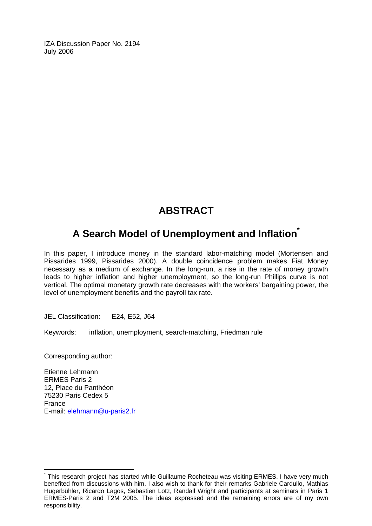IZA Discussion Paper No. 2194 July 2006

## **ABSTRACT**

### **A Search Model of Unemployment and Inflation[\\*](#page-2-0)**

In this paper, I introduce money in the standard labor-matching model (Mortensen and Pissarides 1999, Pissarides 2000). A double coincidence problem makes Fiat Money necessary as a medium of exchange. In the long-run, a rise in the rate of money growth leads to higher inflation and higher unemployment, so the long-run Phillips curve is not vertical. The optimal monetary growth rate decreases with the workers' bargaining power, the level of unemployment benefits and the payroll tax rate.

JEL Classification: E24, E52, J64

Keywords: inflation, unemployment, search-matching, Friedman rule

Corresponding author:

 $\overline{a}$ 

Etienne Lehmann ERMES Paris 2 12, Place du Panthéon 75230 Paris Cedex 5 France E-mail: [elehmann@u-paris2.fr](mailto:elehmann@u-paris2.fr) 

<span id="page-2-0"></span><sup>\*</sup> This research project has started while Guillaume Rocheteau was visiting ERMES. I have very much benefited from discussions with him. I also wish to thank for their remarks Gabriele Cardullo, Mathias Hugerbühler, Ricardo Lagos, Sebastien Lotz, Randall Wright and participants at seminars in Paris 1 ERMES-Paris 2 and T2M 2005. The ideas expressed and the remaining errors are of my own responsibility.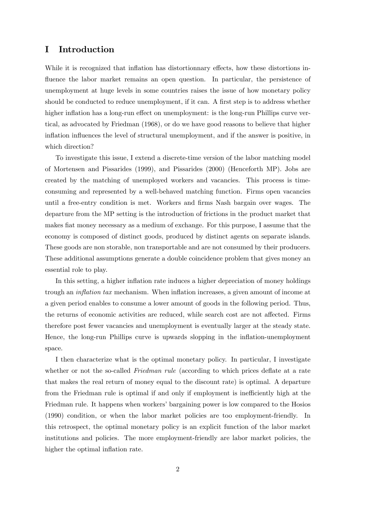#### I Introduction

While it is recognized that inflation has distortionary effects, how these distortions influence the labor market remains an open question. In particular, the persistence of unemployment at huge levels in some countries raises the issue of how monetary policy should be conducted to reduce unemployment, if it can. A first step is to address whether higher inflation has a long-run effect on unemployment: is the long-run Phillips curve vertical, as advocated by Friedman (1968), or do we have good reasons to believe that higher inflation influences the level of structural unemployment, and if the answer is positive, in which direction?

To investigate this issue, I extend a discrete-time version of the labor matching model of Mortensen and Pissarides (1999), and Pissarides (2000) (Henceforth MP). Jobs are created by the matching of unemployed workers and vacancies. This process is timeconsuming and represented by a well-behaved matching function. Firms open vacancies until a free-entry condition is met. Workers and Örms Nash bargain over wages. The departure from the MP setting is the introduction of frictions in the product market that makes fiat money necessary as a medium of exchange. For this purpose, I assume that the economy is composed of distinct goods, produced by distinct agents on separate islands. These goods are non storable, non transportable and are not consumed by their producers. These additional assumptions generate a double coincidence problem that gives money an essential role to play.

In this setting, a higher inflation rate induces a higher depreciation of money holdings trough an *inflation tax* mechanism. When inflation increases, a given amount of income at a given period enables to consume a lower amount of goods in the following period. Thus, the returns of economic activities are reduced, while search cost are not affected. Firms therefore post fewer vacancies and unemployment is eventually larger at the steady state. Hence, the long-run Phillips curve is upwards slopping in the inflation-unemployment space.

I then characterize what is the optimal monetary policy. In particular, I investigate whether or not the so-called *Friedman rule* (according to which prices deflate at a rate that makes the real return of money equal to the discount rate) is optimal. A departure from the Friedman rule is optimal if and only if employment is inefficiently high at the Friedman rule. It happens when workers' bargaining power is low compared to the Hosios (1990) condition, or when the labor market policies are too employment-friendly. In this retrospect, the optimal monetary policy is an explicit function of the labor market institutions and policies. The more employment-friendly are labor market policies, the higher the optimal inflation rate.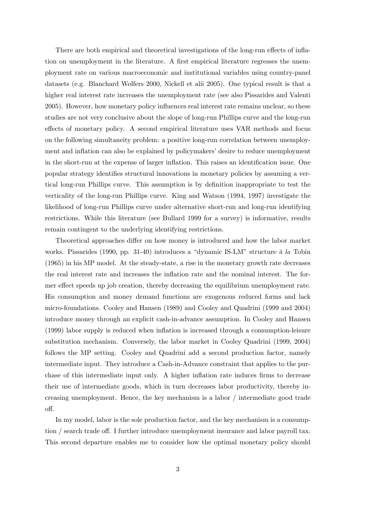There are both empirical and theoretical investigations of the long-run effects of inflation on unemployment in the literature. A first empirical literature regresses the unemployment rate on various macroeconomic and institutional variables using country-panel datasets (e.g. Blanchard Wolfers 2000, Nickell et alii 2005). One typical result is that a higher real interest rate increases the unemployment rate (see also Pissarides and Valenti 2005). However, how monetary policy ináuences real interest rate remains unclear, so these studies are not very conclusive about the slope of long-run Phillips curve and the long-run effects of monetary policy. A second empirical literature uses VAR methods and focus on the following simultaneity problem: a positive long-run correlation between unemployment and inflation can also be explained by policymakers' desire to reduce unemployment in the short-run at the expense of larger inflation. This raises an identification issue. One popular strategy identifies structural innovations in monetary policies by assuming a vertical long-run Phillips curve. This assumption is by definition inappropriate to test the verticality of the long-run Phillips curve. King and Watson (1994, 1997) investigate the likelihood of long-run Phillips curve under alternative short-run and long-run identifying restrictions. While this literature (see Bullard 1999 for a survey) is informative, results remain contingent to the underlying identifying restrictions.

Theoretical approaches differ on how money is introduced and how the labor market works. Pissarides (1990, pp. 31-40) introduces a "dynamic IS-LM" structure  $\dot{a}$  la Tobin (1965) in his MP model. At the steady-state, a rise in the monetary growth rate decreases the real interest rate and increases the inflation rate and the nominal interest. The former effect speeds up job creation, thereby decreasing the equilibrium unemployment rate. His consumption and money demand functions are exogenous reduced forms and lack micro-foundations. Cooley and Hansen (1989) and Cooley and Quadrini (1999 and 2004) introduce money through an explicit cash-in-advance assumption. In Cooley and Hansen (1999) labor supply is reduced when ináation is increased through a consumption-leisure substitution mechanism. Conversely, the labor market in Cooley Quadrini (1999, 2004) follows the MP setting. Cooley and Quadrini add a second production factor, namely intermediate input. They introduce a Cash-in-Advance constraint that applies to the purchase of this intermediate input only. A higher inflation rate induces firms to decrease their use of intermediate goods, which in turn decreases labor productivity, thereby increasing unemployment. Hence, the key mechanism is a labor / intermediate good trade off.

In my model, labor is the sole production factor, and the key mechanism is a consumption / search trade off. I further introduce unemployment insurance and labor payroll tax. This second departure enables me to consider how the optimal monetary policy should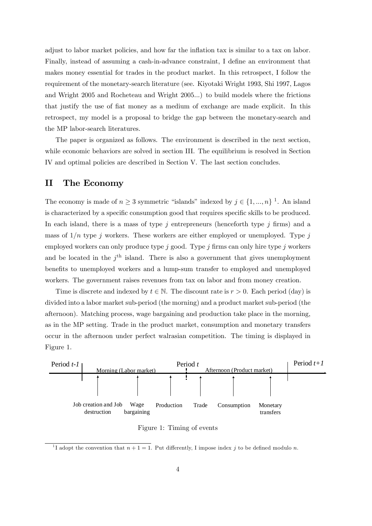adjust to labor market policies, and how far the inflation tax is similar to a tax on labor. Finally, instead of assuming a cash-in-advance constraint, I define an environment that makes money essential for trades in the product market. In this retrospect, I follow the requirement of the monetary-search literature (see. Kiyotaki Wright 1993, Shi 1997, Lagos and Wright 2005 and Rocheteau and Wright 2005...) to build models where the frictions that justify the use of fiat money as a medium of exchange are made explicit. In this retrospect, my model is a proposal to bridge the gap between the monetary-search and the MP labor-search literatures.

The paper is organized as follows. The environment is described in the next section, while economic behaviors are solved in section III. The equilibrium is resolved in Section IV and optimal policies are described in Section V. The last section concludes.

#### II The Economy

The economy is made of  $n \geq 3$  symmetric "islands" indexed by  $j \in \{1, ..., n\}$ <sup>1</sup>. An island is characterized by a specific consumption good that requires specific skills to be produced. In each island, there is a mass of type  $j$  entrepreneurs (henceforth type  $j$  firms) and a mass of  $1/n$  type j workers. These workers are either employed or unemployed. Type j employed workers can only produce type j good. Type j firms can only hire type j workers and be located in the  $j<sup>th</sup>$  island. There is also a government that gives unemployment benefits to unemployed workers and a lump-sum transfer to employed and unemployed workers. The government raises revenues from tax on labor and from money creation.

Time is discrete and indexed by  $t \in \mathbb{N}$ . The discount rate is  $r > 0$ . Each period (day) is divided into a labor market sub-period (the morning) and a product market sub-period (the afternoon). Matching process, wage bargaining and production take place in the morning, as in the MP setting. Trade in the product market, consumption and monetary transfers occur in the afternoon under perfect walrasian competition. The timing is displayed in Figure 1.



Figure 1: Timing of events

<sup>&</sup>lt;sup>1</sup>I adopt the convention that  $n + 1 = 1$ . Put differently, I impose index j to be defined modulo n.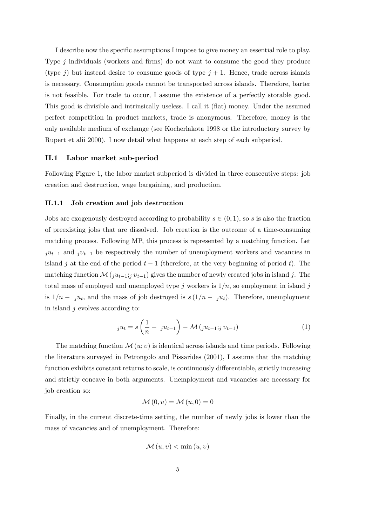I describe now the speciÖc assumptions I impose to give money an essential role to play. Type  $j$  individuals (workers and firms) do not want to consume the good they produce (type j) but instead desire to consume goods of type  $j + 1$ . Hence, trade across islands is necessary. Consumption goods cannot be transported across islands. Therefore, barter is not feasible. For trade to occur, I assume the existence of a perfectly storable good. This good is divisible and intrinsically useless. I call it (fiat) money. Under the assumed perfect competition in product markets, trade is anonymous. Therefore, money is the only available medium of exchange (see Kocherlakota 1998 or the introductory survey by Rupert et alii 2000). I now detail what happens at each step of each subperiod.

#### II.1 Labor market sub-period

Following Figure 1, the labor market subperiod is divided in three consecutive steps: job creation and destruction, wage bargaining, and production.

#### II.1.1 Job creation and job destruction

Jobs are exogenously destroyed according to probability  $s \in (0, 1)$ , so s is also the fraction of preexisting jobs that are dissolved. Job creation is the outcome of a time-consuming matching process. Following MP, this process is represented by a matching function. Let  $j u_{t-1}$  and  $j v_{t-1}$  be respectively the number of unemployment workers and vacancies in island j at the end of the period  $t-1$  (therefore, at the very beginning of period t). The matching function  $\mathcal{M}(j u_{t-1}; i v_{t-1})$  gives the number of newly created jobs in island j. The total mass of employed and unemployed type j workers is  $1/n$ , so employment in island j is  $1/n - j u_t$ , and the mass of job destroyed is  $s (1/n - j u_t)$ . Therefore, unemployment in island  $j$  evolves according to:

$$
_{j}u_{t}=s\left( \frac{1}{n}-ju_{t-1}\right) -\mathcal{M}\left( ju_{t-1};jv_{t-1}\right) \tag{1}
$$

The matching function  $\mathcal{M}(u; v)$  is identical across islands and time periods. Following the literature surveyed in Petrongolo and Pissarides (2001), I assume that the matching function exhibits constant returns to scale, is continuously differentiable, strictly increasing and strictly concave in both arguments. Unemployment and vacancies are necessary for job creation so:

$$
\mathcal{M}(0,v) = \mathcal{M}(u,0) = 0
$$

Finally, in the current discrete-time setting, the number of newly jobs is lower than the mass of vacancies and of unemployment. Therefore:

$$
\mathcal{M}(u,v) < \min(u,v)
$$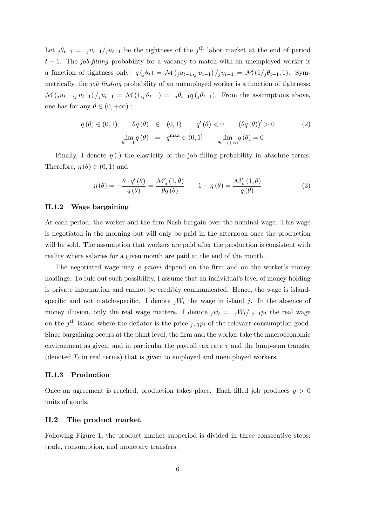Let  $j\theta_{t-1} = jv_{t-1}/ju_{t-1}$  be the tightness of the j<sup>th</sup> labor market at the end of period  $t-1$ . The job-filling probability for a vacancy to match with an unemployed worker is a function of tightness only:  $q(j\theta_t) = \mathcal{M}(j u_{t-1,j} v_{t-1})/j v_{t-1} = \mathcal{M}(1/j\theta_{t-1}, 1)$ . Symmetrically, the *job finding* probability of an unemployed worker is a function of tightness:  $\mathcal{M}(j u_{t-1},j v_{t-1})/j u_{t-1} = \mathcal{M}(1,j \theta_{t-1}) = j \theta_{t-1} q (j \theta_{t-1}).$  From the assumptions above, one has for any  $\theta \in (0, +\infty)$ :

$$
q(\theta) \in (0,1) \qquad \theta q(\theta) \in (0,1) \qquad q'(\theta) < 0 \qquad (\theta q(\theta))' > 0 \qquad (2)
$$

$$
\lim_{\theta \to 0} q(\theta) = q^{\max} \in (0,1] \qquad \lim_{\theta \to +\infty} q(\theta) = 0
$$

Finally, I denote  $\eta$  (.) the elasticity of the job filling probability in absolute terms. Therefore,  $\eta(\theta) \in (0, 1)$  and

$$
\eta(\theta) = -\frac{\theta \cdot q'(\theta)}{q(\theta)} = \frac{\mathcal{M}'_u(1,\theta)}{\theta q(\theta)} \qquad 1 - \eta(\theta) = \frac{\mathcal{M}'_v(1,\theta)}{q(\theta)} \tag{3}
$$

#### II.1.2 Wage bargaining

At each period, the worker and the Örm Nash bargain over the nominal wage. This wage is negotiated in the morning but will only be paid in the afternoon once the production will be sold. The assumption that workers are paid after the production is consistent with reality where salaries for a given month are paid at the end of the month.

The negotiated wage may a priori depend on the firm and on the worker's money holdings. To rule out such possibility, I assume that an individual's level of money holding is private information and cannot be credibly communicated. Hence, the wage is islandspecific and not match-specific. I denote  $iW_t$  the wage in island j. In the absence of money illusion, only the real wage matters. I denote  $jw_t = jW_t/j_{+1}p_t$  the real wage on the j<sup>th</sup> island where the deflator is the price  $j+1pt$  of the relevant consumption good. Since bargaining occurs at the plant level, the firm and the worker take the macroeconomic environment as given, and in particular the payroll tax rate  $\tau$  and the lump-sum transfer (denoted  $T_t$  in real terms) that is given to employed and unemployed workers.

#### II.1.3 Production

Once an agreement is reached, production takes place. Each filled job produces  $y > 0$ units of goods.

#### II.2 The product market

Following Figure 1, the product market subperiod is divided in three consecutive steps: trade, consumption, and monetary transfers.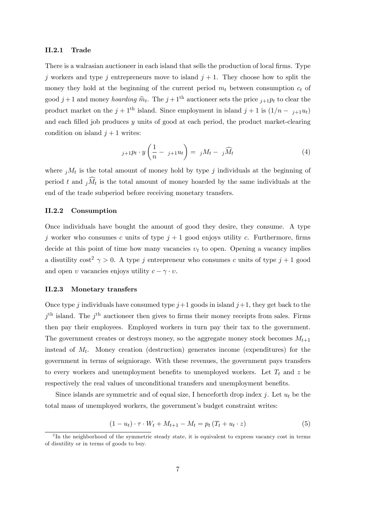#### II.2.1 Trade

There is a walrasian auctioneer in each island that sells the production of local firms. Type j workers and type j entrepreneurs move to island  $j + 1$ . They choose how to split the money they hold at the beginning of the current period  $m_t$  between consumption  $c_t$  of good  $j+1$  and money *hoarding*  $\widehat{m}_t$ . The  $j+1$ <sup>th</sup> auctioneer sets the price  $j+1p_t$  to clear the product market on the  $j + 1$ <sup>th</sup> island. Since employment in island  $j + 1$  is  $(1/n - j+1u_t)$ and each filled job produces  $y$  units of good at each period, the product market-clearing condition on island  $j + 1$  writes:

$$
j+1}p_t \cdot y\left(\frac{1}{n} - j+1}u_t\right) = jM_t - j\widehat{M}_t \tag{4}
$$

where  $jM_t$  is the total amount of money hold by type j individuals at the beginning of period t and  $jM_t$  is the total amount of money hoarded by the same individuals at the end of the trade subperiod before receiving monetary transfers.

#### II.2.2 Consumption

Once individuals have bought the amount of good they desire, they consume. A type j worker who consumes c units of type  $j+1$  good enjoys utility c. Furthermore, firms decide at this point of time how many vacancies  $v_t$  to open. Opening a vacancy implies a disutility cost<sup>2</sup>  $\gamma > 0$ . A type j entrepreneur who consumes c units of type j + 1 good and open v vacancies enjoys utility  $c - \gamma \cdot v$ .

#### II.2.3 Monetary transfers

Once type j individuals have consumed type  $j+1$  goods in island  $j+1$ , they get back to the  $j<sup>th</sup>$  island. The  $j<sup>th</sup>$  auctioneer then gives to firms their money receipts from sales. Firms then pay their employees. Employed workers in turn pay their tax to the government. The government creates or destroys money, so the aggregate money stock becomes  $M_{t+1}$ instead of  $M_t$ . Money creation (destruction) generates income (expenditures) for the government in terms of seigniorage. With these revenues, the government pays transfers to every workers and unemployment benefits to unemployed workers. Let  $T_t$  and z be respectively the real values of unconditional transfers and unemployment benefits.

Since islands are symmetric and of equal size, I henceforth drop index j. Let  $u_t$  be the total mass of unemployed workers, the government's budget constraint writes:

$$
(1 - ut) \cdot \tau \cdot W_t + M_{t+1} - M_t = p_t (T_t + u_t \cdot z)
$$
\n
$$
(5)
$$

<sup>&</sup>lt;sup>2</sup>In the neighborhood of the symmetric steady state, it is equivalent to express vacancy cost in terms of disutility or in terms of goods to buy.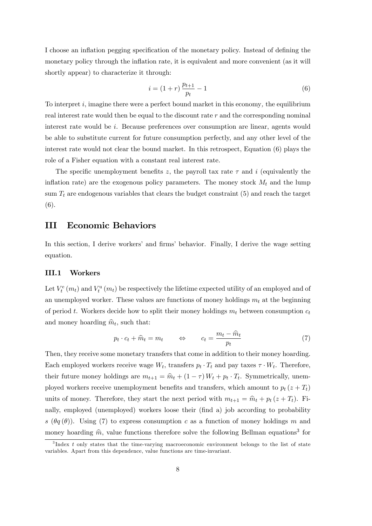I choose an inflation pegging specification of the monetary policy. Instead of defining the monetary policy through the inflation rate, it is equivalent and more convenient (as it will shortly appear) to characterize it through:

$$
i = (1+r)\frac{p_{t+1}}{p_t} - 1\tag{6}
$$

To interpret  $i$ , imagine there were a perfect bound market in this economy, the equilibrium real interest rate would then be equal to the discount rate  $r$  and the corresponding nominal interest rate would be i. Because preferences over consumption are linear, agents would be able to substitute current for future consumption perfectly, and any other level of the interest rate would not clear the bound market. In this retrospect, Equation (6) plays the role of a Fisher equation with a constant real interest rate.

The specific unemployment benefits z, the payroll tax rate  $\tau$  and i (equivalently the inflation rate) are the exogenous policy parameters. The money stock  $M_t$  and the lump sum  $T_t$  are endogenous variables that clears the budget constraint  $(5)$  and reach the target (6).

#### III Economic Behaviors

In this section, I derive workers' and firms' behavior. Finally, I derive the wage setting equation.

#### III.1 Workers

Let  $V_t^e(m_t)$  and  $V_t^u(m_t)$  be respectively the lifetime expected utility of an employed and of an unemployed worker. These values are functions of money holdings  $m_t$  at the beginning of period t. Workers decide how to split their money holdings  $m_t$  between consumption  $c_t$ and money hoarding  $\hat{m}_t$ , such that:

$$
p_t \cdot c_t + \widehat{m}_t = m_t \qquad \Leftrightarrow \qquad c_t = \frac{m_t - \widehat{m}_t}{p_t} \tag{7}
$$

Then, they receive some monetary transfers that come in addition to their money hoarding. Each employed workers receive wage  $W_t$ , transfers  $p_t \cdot T_t$  and pay taxes  $\tau \cdot W_t$ . Therefore, their future money holdings are  $m_{t+1} = \hat{m}_t + (1 - \tau) W_t + p_t \cdot T_t$ . Symmetrically, unemployed workers receive unemployment benefits and transfers, which amount to  $p_t(z + T_t)$ units of money. Therefore, they start the next period with  $m_{t+1} = \hat{m}_t + p_t (z + T_t)$ . Finally, employed (unemployed) workers loose their (find a) job according to probability s ( $\theta q(\theta)$ ). Using (7) to express consumption c as a function of money holdings m and money hoarding  $\hat{m}$ , value functions therefore solve the following Bellman equations<sup>3</sup> for

<sup>&</sup>lt;sup>3</sup>Index t only states that the time-varying macroeconomic environment belongs to the list of state variables. Apart from this dependence, value functions are time-invariant.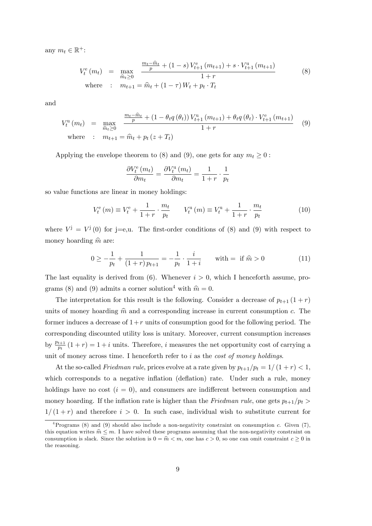any  $m_t \in \mathbb{R}^+$ :

$$
V_t^e(m_t) = \max_{\widehat{m}_t \ge 0} \frac{\frac{m_t - \widehat{m}_t}{p} + (1 - s) V_{t+1}^e(m_{t+1}) + s \cdot V_{t+1}^u(m_{t+1})}{1 + r}
$$
\nwhere :  $m_{t+1} = \widehat{m}_t + (1 - \tau) W_t + p_t \cdot T_t$  (8)

and

$$
V_t^{\text{u}}(m_t) = \max_{\hat{m}_t \ge 0} \frac{\frac{m_t - \hat{m}_t}{p} + (1 - \theta_t q(\theta_t)) V_{t+1}^{\text{u}}(m_{t+1}) + \theta_t q(\theta_t) \cdot V_{t+1}^{\text{e}}(m_{t+1})}{1 + r}
$$
 (9)  
where :  $m_{t+1} = \hat{m}_t + p_t (z + T_t)$ 

Applying the envelope theorem to (8) and (9), one gets for any  $m_t \geq 0$ :

$$
\frac{\partial V_t^{\text{e}}\left(m_t\right)}{\partial m_t} = \frac{\partial V_t^{\text{u}}\left(m_t\right)}{\partial m_t} = \frac{1}{1+r} \cdot \frac{1}{p_t}
$$

so value functions are linear in money holdings:

$$
V_t^{\rm e}(m) \equiv V_t^{\rm e} + \frac{1}{1+r} \cdot \frac{m_t}{p_t} \qquad V_t^{\rm u}(m) \equiv V_t^{\rm u} + \frac{1}{1+r} \cdot \frac{m_t}{p_t} \tag{10}
$$

where  $V^j = V^j(0)$  for j=e,u. The first-order conditions of (8) and (9) with respect to money hoarding  $\hat{m}$  are:

$$
0 \ge -\frac{1}{p_t} + \frac{1}{(1+r)p_{t+1}} = -\frac{1}{p_t} \cdot \frac{i}{1+i} \quad \text{with} = \text{ if } \hat{m} > 0 \tag{11}
$$

The last equality is derived from (6). Whenever  $i > 0$ , which I henceforth assume, programs (8) and (9) admits a corner solution<sup>4</sup> with  $\hat{m} = 0$ .

The interpretation for this result is the following. Consider a decrease of  $p_{t+1}$   $(1 + r)$ units of money hoarding  $\hat{m}$  and a corresponding increase in current consumption c. The former induces a decrease of  $1+r$  units of consumption good for the following period. The corresponding discounted utility loss is unitary. Moreover, current consumption increases by  $\frac{p_{t+1}}{p_t}(1+r) = 1+i$  units. Therefore, i measures the net opportunity cost of carrying a unit of money across time. I henceforth refer to  $i$  as the *cost of money holdings*.

At the so-called *Friedman rule*, prices evolve at a rate given by  $p_{t+1}/p_t = 1/(1 + r) < 1$ , which corresponds to a negative inflation (deflation) rate. Under such a rule, money holdings have no cost  $(i = 0)$ , and consumers are indifferent between consumption and money hoarding. If the inflation rate is higher than the Friedman rule, one gets  $p_{t+1}/p_t >$  $1/(1 + r)$  and therefore  $i > 0$ . In such case, individual wish to substitute current for

<sup>&</sup>lt;sup>4</sup>Programs (8) and (9) should also include a non-negativity constraint on consumption c. Given (7), this equation writes  $\hat{m} \leq m$ . I have solved these programs assuming that the non-negativity constraint on consumption is slack. Since the solution is  $0 = \hat{m} < m$ , one has  $c > 0$ , so one can omit constraint  $c \ge 0$  in the reasoning.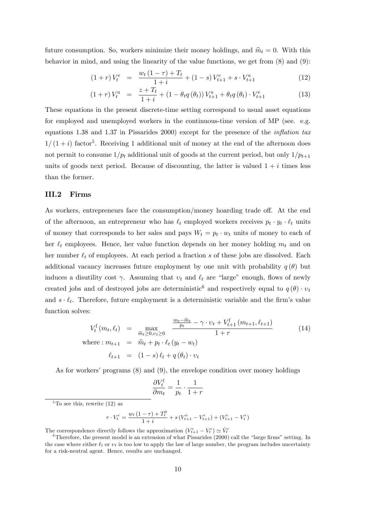future consumption. So, workers minimize their money holdings, and  $\hat{m}_t = 0$ . With this behavior in mind, and using the linearity of the value functions, we get from (8) and (9):

$$
(1+r)V_t^e = \frac{w_t(1-\tau) + T_t}{1+i} + (1-s)V_{t+1}^e + s \cdot V_{t+1}^u \tag{12}
$$

$$
(1+r)V_t^{\mathrm{u}} = \frac{z+T_t}{1+i} + (1 - \theta_t q(\theta_t)) V_{t+1}^{\mathrm{u}} + \theta_t q(\theta_t) \cdot V_{t+1}^{\mathrm{e}}
$$
(13)

These equations in the present discrete-time setting correspond to usual asset equations for employed and unemployed workers in the continuous-time version of MP (see. e.g. equations 1.38 and 1.37 in Pissarides 2000) except for the presence of the *inflation tax*  $1/(1 + i)$  factor<sup>5</sup>. Receiving 1 additional unit of money at the end of the afternoon does not permit to consume  $1/p_t$  additional unit of goods at the current period, but only  $1/p_{t+1}$ units of goods next period. Because of discounting, the latter is valued  $1 + i$  times less than the former.

#### III.2 Firms

As workers, entrepreneurs face the consumption/money hoarding trade off. At the end of the afternoon, an entrepreneur who has  $\ell_t$  employed workers receives  $p_t \cdot y_t \cdot \ell_t$  units of money that corresponds to her sales and pays  $W_t = p_t \cdot w_t$  units of money to each of her  $\ell_t$  employees. Hence, her value function depends on her money holding  $m_t$  and on her number  $\ell_t$  of employees. At each period a fraction s of these jobs are dissolved. Each additional vacancy increases future employment by one unit with probability  $q(\theta)$  but induces a disutility cost  $\gamma$ . Assuming that  $v_t$  and  $\ell_t$  are "large" enough, flows of newly created jobs and of destroyed jobs are deterministic<sup>6</sup> and respectively equal to  $q(\theta) \cdot v_t$ and  $s \cdot \ell_t$ . Therefore, future employment is a deterministic variable and the firm's value function solves:

$$
V_t^f(m_t, \ell_t) = \max_{\hat{m}_t \ge 0, v_t \ge 0} \frac{\frac{m_t - \hat{m}_t}{p_t} - \gamma \cdot v_t + V_{t+1}^f(m_{t+1}, \ell_{t+1})}{1 + r}
$$
  
where :  $m_{t+1} = \hat{m}_t + p_t \cdot \ell_t (y_t - w_t)$   

$$
\ell_{t+1} = (1 - s) \ell_t + q(\theta_t) \cdot v_t
$$
 (14)

As for workers' programs  $(8)$  and  $(9)$ , the envelope condition over money holdings

$$
\frac{\partial V_t^{\text{f}}}{\partial m_t} = \frac{1}{p_t} \cdot \frac{1}{1+r}
$$

$$
r \cdot V_t^{\text{e}} = \frac{w_t (1 - \tau) + T_t^0}{1 + i} + s (V_{t+1}^{\text{u}} - V_{t+1}^{\text{e}}) + (V_{t+1}^{\text{e}} - V_t^{\text{e}})
$$

The correspondence directly follows the approximation  $(V_{t+1}^e - V_t^e) \simeq V_t^e$ 

 ${}^{5}$ To see this, rewrite (12) as

 $6$ Therefore, the present model is an extension of what Pissarides (2000) call the "large firms" setting. In the case where either  $\ell_t$  or  $v_t$  is too low to apply the law of large number, the program includes uncertainty for a risk-neutral agent. Hence, results are unchanged.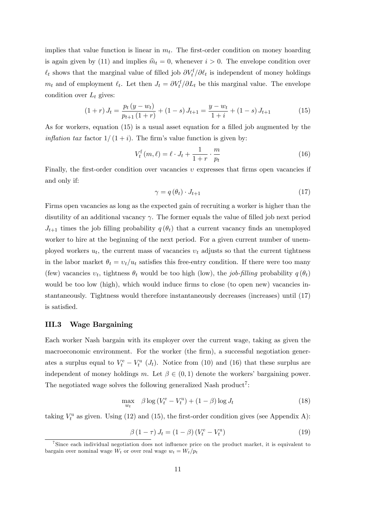implies that value function is linear in  $m_t$ . The first-order condition on money hoarding is again given by (11) and implies  $\hat{m}_t = 0$ , whenever  $i > 0$ . The envelope condition over  $\ell_t$  shows that the marginal value of filled job  $\partial V_t^f / \partial \ell_t$  is independent of money holdings  $m_t$  and of employment  $\ell_t$ . Let then  $J_t = \partial V_t^{\{f\}} \partial L_t$  be this marginal value. The envelope condition over  $L_t$  gives:

$$
(1+r) J_t = \frac{p_t (y-w_t)}{p_{t+1} (1+r)} + (1-s) J_{t+1} = \frac{y-w_t}{1+i} + (1-s) J_{t+1}
$$
(15)

As for workers, equation  $(15)$  is a usual asset equation for a filled job augmented by the *inflation tax* factor  $1/(1 + i)$ . The firm's value function is given by:

$$
V_t^{\text{f}}(m,\ell) = \ell \cdot J_t + \frac{1}{1+r} \cdot \frac{m}{p_t} \tag{16}
$$

Finally, the first-order condition over vacancies  $v$  expresses that firms open vacancies if and only if:

$$
\gamma = q\left(\theta_t\right) \cdot J_{t+1} \tag{17}
$$

Firms open vacancies as long as the expected gain of recruiting a worker is higher than the disutility of an additional vacancy  $\gamma$ . The former equals the value of filled job next period  $J_{t+1}$  times the job filling probability  $q(\theta_t)$  that a current vacancy finds an unemployed worker to hire at the beginning of the next period. For a given current number of unemployed workers  $u_t$ , the current mass of vacancies  $v_t$  adjusts so that the current tightness in the labor market  $\theta_t = v_t/u_t$  satisfies this free-entry condition. If there were too many (few) vacancies  $v_t$ , tightness  $\theta_t$  would be too high (low), the job-filling probability  $q(\theta_t)$ would be too low (high), which would induce firms to close (to open new) vacancies instantaneously. Tightness would therefore instantaneously decreases (increases) until (17) is satisfied.

#### III.3 Wage Bargaining

Each worker Nash bargain with its employer over the current wage, taking as given the macroeconomic environment. For the worker (the firm), a successful negotiation generates a surplus equal to  $V_t^e - V_t^u$  (*J<sub>t</sub>*). Notice from (10) and (16) that these surplus are independent of money holdings m. Let  $\beta \in (0,1)$  denote the workers' bargaining power. The negotiated wage solves the following generalized Nash product<sup>7</sup>:

$$
\max_{w_t} \quad \beta \log \left( V_t^e - V_t^u \right) + (1 - \beta) \log J_t \tag{18}
$$

taking  $V_t^u$  as given. Using (12) and (15), the first-order condition gives (see Appendix A):

$$
\beta (1 - \tau) J_t = (1 - \beta) (V_t^{\text{e}} - V_t^{\text{u}})
$$
\n(19)

<sup>&</sup>lt;sup>7</sup>Since each individual negotiation does not influence price on the product market, it is equivalent to bargain over nominal wage  $W_t$  or over real wage  $w_t = W_t/p_t$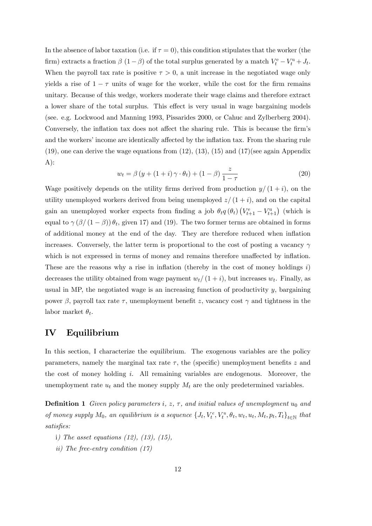In the absence of labor taxation (i.e. if  $\tau = 0$ ), this condition stipulates that the worker (the firm) extracts a fraction  $\beta$  (1 –  $\beta$ ) of the total surplus generated by a match  $V_t^e - V_t^u + J_t$ . When the payroll tax rate is positive  $\tau > 0$ , a unit increase in the negotiated wage only yields a rise of  $1 - \tau$  units of wage for the worker, while the cost for the firm remains unitary. Because of this wedge, workers moderate their wage claims and therefore extract a lower share of the total surplus. This effect is very usual in wage bargaining models (see. e.g. Lockwood and Manning 1993, Pissarides 2000, or Cahuc and Zylberberg 2004). Conversely, the inflation tax does not affect the sharing rule. This is because the firm's and the workers' income are identically affected by the inflation tax. From the sharing rule  $(19)$ , one can derive the wage equations from  $(12)$ ,  $(13)$ ,  $(15)$  and  $(17)$ (see again Appendix  $A)$ :

$$
w_t = \beta \left( y + (1+i)\gamma \cdot \theta_t \right) + (1-\beta) \frac{z}{1-\tau}
$$
\n<sup>(20)</sup>

Wage positively depends on the utility firms derived from production  $y/(1 + i)$ , on the utility unemployed workers derived from being unemployed  $z/(1 + i)$ , and on the capital gain an unemployed worker expects from finding a job  $\theta_t q(\theta_t) (V_{t+1}^e - V_{t+1}^u)$  (which is equal to  $\gamma(\beta/(1-\beta))\theta_t$ , given 17) and (19). The two former terms are obtained in forms of additional money at the end of the day. They are therefore reduced when ináation increases. Conversely, the latter term is proportional to the cost of posting a vacancy  $\gamma$ which is not expressed in terms of money and remains therefore unaffected by inflation. These are the reasons why a rise in inflation (thereby in the cost of money holdings  $i$ ) decreases the utility obtained from wage payment  $w_t/(1 + i)$ , but increases  $w_t$ . Finally, as usual in MP, the negotiated wage is an increasing function of productivity  $y$ , bargaining power  $\beta$ , payroll tax rate  $\tau$ , unemployment benefit z, vacancy cost  $\gamma$  and tightness in the labor market  $\theta_t$ .

#### IV Equilibrium

In this section, I characterize the equilibrium. The exogenous variables are the policy parameters, namely the marginal tax rate  $\tau$ , the (specific) unemployment benefits z and the cost of money holding i. All remaining variables are endogenous. Moreover, the unemployment rate  $u_t$  and the money supply  $M_t$  are the only predetermined variables.

**Definition 1** Given policy parameters i,  $z$ ,  $\tau$ , and initial values of unemployment  $u_0$  and of money supply  $M_0$ , an equilibrium is a sequence  $\{J_t, V_t^e, V_t^u, \theta_t, w_t, u_t, M_t, p_t, T_t\}_{t \in \mathbb{N}}$  that satisfies:

- i) The asset equations (12), (13), (15),
- ii) The free-entry condition (17)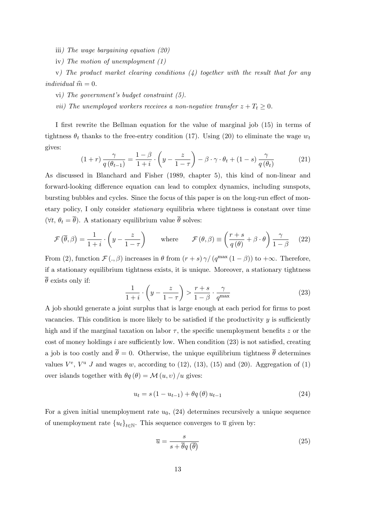iii) The wage bargaining equation (20)

iv) The motion of unemployment (1)

v) The product market clearing conditions  $(4)$  together with the result that for any individual  $\hat{m} = 0$ .

vi) The government's budget constraint  $(5)$ .

vii) The unemployed workers receives a non-negative transfer  $z + T_t \geq 0$ .

I first rewrite the Bellman equation for the value of marginal job (15) in terms of tightness  $\theta_t$  thanks to the free-entry condition (17). Using (20) to eliminate the wage  $w_t$ gives:

$$
(1+r)\frac{\gamma}{q(\theta_{t-1})} = \frac{1-\beta}{1+i} \cdot \left(y - \frac{z}{1-\tau}\right) - \beta \cdot \gamma \cdot \theta_t + (1-s)\frac{\gamma}{q(\theta_t)}
$$
(21)

As discussed in Blanchard and Fisher (1989, chapter 5), this kind of non-linear and forward-looking difference equation can lead to complex dynamics, including sunspots, bursting bubbles and cycles. Since the focus of this paper is on the long-run effect of monetary policy, I only consider stationary equilibria where tightness is constant over time  $(\forall t, \theta_t = \overline{\theta})$ . A stationary equilibrium value  $\overline{\theta}$  solves:

$$
\mathcal{F}\left(\overline{\theta},\beta\right) = \frac{1}{1+i} \cdot \left(y - \frac{z}{1-\tau}\right) \qquad \text{where} \qquad \mathcal{F}\left(\theta,\beta\right) \equiv \left(\frac{r+s}{q\left(\theta\right)} + \beta \cdot \theta\right) \frac{\gamma}{1-\beta} \tag{22}
$$

From (2), function  $\mathcal{F}(.,\beta)$  increases in  $\theta$  from  $(r+s)\gamma/(q^{\max}(1-\beta))$  to  $+\infty$ . Therefore, if a stationary equilibrium tightness exists, it is unique. Moreover, a stationary tightness  $\overline{\theta}$  exists only if:

$$
\frac{1}{1+i} \cdot \left( y - \frac{z}{1-\tau} \right) > \frac{r+s}{1-\beta} \cdot \frac{\gamma}{q^{\max}} \tag{23}
$$

A job should generate a joint surplus that is large enough at each period for firms to post vacancies. This condition is more likely to be satisfied if the productivity  $y$  is sufficiently high and if the marginal taxation on labor  $\tau$ , the specific unemployment benefits z or the cost of money holdings i are sufficiently low. When condition  $(23)$  is not satisfied, creating a job is too costly and  $\bar{\theta} = 0$ . Otherwise, the unique equilibrium tightness  $\bar{\theta}$  determines values  $V^e$ ,  $V^u$  J and wages w, according to (12), (13), (15) and (20). Aggregation of (1) over islands together with  $\theta q (\theta) = \mathcal{M}(u, v) / u$  gives:

$$
u_t = s(1 - u_{t-1}) + \theta q(\theta) u_{t-1}
$$
\n(24)

For a given initial unemployment rate  $u_0$ , (24) determines recursively a unique sequence of unemployment rate  ${u_t}_{t\in\mathbb{N}}$ . This sequence converges to  $\overline{u}$  given by:

$$
\overline{u} = \frac{s}{s + \overline{\theta}q\left(\overline{\theta}\right)}\tag{25}
$$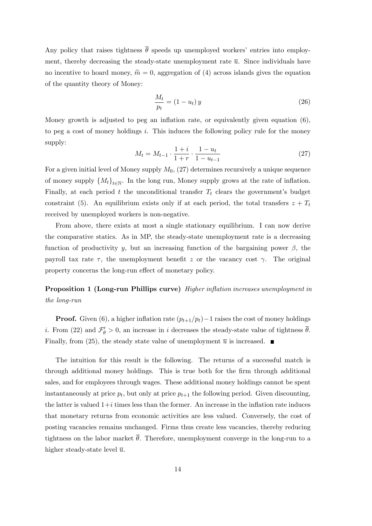Any policy that raises tightness  $\bar{\theta}$  speeds up unemployed workers' entries into employment, thereby decreasing the steady-state unemployment rate  $\bar{u}$ . Since individuals have no incentive to hoard money,  $\hat{m} = 0$ , aggregation of (4) across islands gives the equation of the quantity theory of Money:

$$
\frac{M_t}{p_t} = (1 - u_t) y \tag{26}
$$

Money growth is adjusted to peg an inflation rate, or equivalently given equation  $(6)$ , to peg a cost of money holdings i. This induces the following policy rule for the money supply:

$$
M_t = M_{t-1} \cdot \frac{1+i}{1+r} \cdot \frac{1-u_t}{1-u_{t-1}}
$$
\n(27)

For a given initial level of Money supply  $M_0$ , (27) determines recursively a unique sequence of money supply  $\{M_t\}_{t\in\mathbb{N}}$ . In the long run, Money supply grows at the rate of inflation. Finally, at each period t the unconditional transfer  $T_t$  clears the government's budget constraint (5). An equilibrium exists only if at each period, the total transfers  $z + T_t$ received by unemployed workers is non-negative.

From above, there exists at most a single stationary equilibrium. I can now derive the comparative statics. As in MP, the steady-state unemployment rate is a decreasing function of productivity y, but an increasing function of the bargaining power  $\beta$ , the payroll tax rate  $\tau$ , the unemployment benefit z or the vacancy cost  $\gamma$ . The original property concerns the long-run effect of monetary policy.

#### **Proposition 1 (Long-run Phillips curve)** Higher inflation increases unemployment in the long-run

**Proof.** Given (6), a higher inflation rate  $(p_{t+1}/p_t)-1$  raises the cost of money holdings *i*. From (22) and  $\mathcal{F}'_{\theta} > 0$ , an increase in *i* decreases the steady-state value of tightness  $\theta$ . Finally, from (25), the steady state value of unemployment  $\overline{u}$  is increased.

The intuition for this result is the following. The returns of a successful match is through additional money holdings. This is true both for the firm through additional sales, and for employees through wages. These additional money holdings cannot be spent instantaneously at price  $p_t$ , but only at price  $p_{t+1}$  the following period. Given discounting, the latter is valued  $1+i$  times less than the former. An increase in the inflation rate induces that monetary returns from economic activities are less valued. Conversely, the cost of posting vacancies remains unchanged. Firms thus create less vacancies, thereby reducing tightness on the labor market  $\bar{\theta}$ . Therefore, unemployment converge in the long-run to a higher steady-state level  $\overline{u}$ .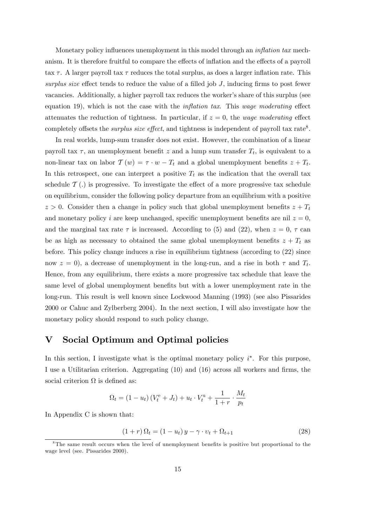Monetary policy influences unemployment in this model through an *inflation tax* mechanism. It is therefore fruitful to compare the effects of inflation and the effects of a payroll tax  $\tau$ . A larger payroll tax  $\tau$  reduces the total surplus, as does a larger inflation rate. This surplus size effect tends to reduce the value of a filled job  $J$ , inducing firms to post fewer vacancies. Additionally, a higher payroll tax reduces the worker's share of this surplus (see equation 19), which is not the case with the *inflation tax*. This wage moderating effect attenuates the reduction of tightness. In particular, if  $z = 0$ , the *wage moderating* effect completely offsets the *surplus size effect*, and tightness is independent of payroll tax rate<sup>8</sup>.

In real worlds, lump-sum transfer does not exist. However, the combination of a linear payroll tax  $\tau$ , an unemployment benefit z and a lump sum transfer  $T_t$ , is equivalent to a non-linear tax on labor  $\mathcal{T}(w) = \tau \cdot w - T_t$  and a global unemployment benefits  $z + T_t$ . In this retrospect, one can interpret a positive  $T_t$  as the indication that the overall tax schedule  $\mathcal{T}$  (.) is progressive. To investigate the effect of a more progressive tax schedule on equilibrium, consider the following policy departure from an equilibrium with a positive  $z > 0$ . Consider then a change in policy such that global unemployment benefits  $z + T_t$ and monetary policy i are keep unchanged, specific unemployment benefits are nil  $z = 0$ , and the marginal tax rate  $\tau$  is increased. According to (5) and (22), when  $z = 0, \tau$  can be as high as necessary to obtained the same global unemployment benefits  $z + T_t$  as before. This policy change induces a rise in equilibrium tightness (according to (22) since now  $z = 0$ , a decrease of unemployment in the long-run, and a rise in both  $\tau$  and  $T_t$ . Hence, from any equilibrium, there exists a more progressive tax schedule that leave the same level of global unemployment benefits but with a lower unemployment rate in the long-run. This result is well known since Lockwood Manning (1993) (see also Pissarides 2000 or Cahuc and Zylberberg 2004). In the next section, I will also investigate how the monetary policy should respond to such policy change.

#### V Social Optimum and Optimal policies

In this section, I investigate what is the optimal monetary policy  $i^*$ . For this purpose, I use a Utilitarian criterion. Aggregating  $(10)$  and  $(16)$  across all workers and firms, the social criterion  $\Omega$  is defined as:

$$
\Omega_t = (1 - u_t) (V_t^e + J_t) + u_t \cdot V_t^u + \frac{1}{1 + r} \cdot \frac{M_t}{p_t}
$$

In Appendix C is shown that:

$$
(1+r)\,\Omega_t = (1-u_t)\,y - \gamma \cdot v_t + \Omega_{t+1} \tag{28}
$$

<sup>&</sup>lt;sup>8</sup>The same result occurs when the level of unemployment benefits is positive but proportional to the wage level (see. Pissarides 2000).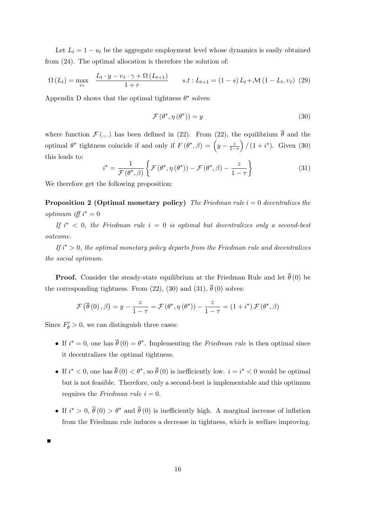Let  $L_t = 1 - u_t$  be the aggregate employment level whose dynamics is easily obtained from (24). The optimal allocation is therefore the solution of:

$$
\Omega\left(L_{t}\right) = \max_{v_{t}} \quad \frac{L_{t} \cdot y - v_{t} \cdot \gamma + \Omega\left(L_{t+1}\right)}{1+r} \qquad s.t: L_{t+1} = (1-s) L_{t} + \mathcal{M}\left(1-L_{t}, v_{t}\right) \tag{29}
$$

Appendix D shows that the optimal tightness  $\theta^*$  solves:

$$
\mathcal{F}\left(\theta^*, \eta\left(\theta^*\right)\right) = y\tag{30}
$$

where function  $\mathcal{F}(\cdot,\cdot)$  has been defined in (22). From (22), the equilibrium  $\overline{\theta}$  and the optimal  $\theta^*$  tightness coincide if and only if  $F(\theta^*, \beta) = \left(y - \frac{z}{1-z}\right)$  $1-\tau$  $/(1 + i^*)$ . Given (30) this leads to:

$$
i^* = \frac{1}{\mathcal{F}(\theta^*, \beta)} \left\{ \mathcal{F}(\theta^*, \eta(\theta^*)) - \mathcal{F}(\theta^*, \beta) - \frac{z}{1 - \tau} \right\}
$$
(31)

We therefore get the following proposition:

**Proposition 2 (Optimal monetary policy)** The Friedman rule  $i = 0$  decentralizes the  $\text{optimum iff } i^* = 0$ 

If  $i^*$   $\langle$  0, the Friedman rule  $i = 0$  is optimal but decentralizes only a second-best outcome.

If  $i^* > 0$ , the optimal monetary policy departs from the Friedman rule and decentralizes the social optimum.

**Proof.** Consider the steady-state equilibrium at the Friedman Rule and let  $\overline{\theta}$  (0) be the corresponding tightness. From (22), (30) and (31),  $\overline{\theta}$  (0) solves:

$$
\mathcal{F}\left(\overline{\theta}\left(0\right),\beta\right)=y-\frac{z}{1-\tau}=\mathcal{F}\left(\theta^*,\eta\left(\theta^*\right)\right)-\frac{z}{1-\tau}=\left(1+i^*\right)\mathcal{F}\left(\theta^*,\beta\right)
$$

Since  $F'_{\theta} > 0$ , we can distinguish three cases:

- If  $i^* = 0$ , one has  $\theta(0) = \theta^*$ . Implementing the *Friedman rule* is then optimal since it decentralizes the optimal tightness.
- If  $i^* < 0$ , one has  $\theta(0) < \theta^*$ , so  $\theta(0)$  is inefficiently low.  $i = i^* < 0$  would be optimal but is not feasible. Therefore, only a second-best is implementable and this optimum requires the *Friedman rule*  $i = 0$ .
- If  $i^* > 0$ ,  $\theta(0) > \theta^*$  and  $\theta(0)$  is inefficiently high. A marginal increase of inflation from the Friedman rule induces a decrease in tightness, which is welfare improving.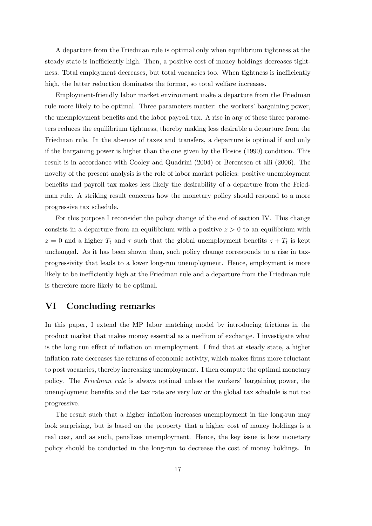A departure from the Friedman rule is optimal only when equilibrium tightness at the steady state is inefficiently high. Then, a positive cost of money holdings decreases tightness. Total employment decreases, but total vacancies too. When tightness is inefficiently high, the latter reduction dominates the former, so total welfare increases.

Employment-friendly labor market environment make a departure from the Friedman rule more likely to be optimal. Three parameters matter: the workers' bargaining power, the unemployment benefits and the labor payroll tax. A rise in any of these three parameters reduces the equilibrium tightness, thereby making less desirable a departure from the Friedman rule. In the absence of taxes and transfers, a departure is optimal if and only if the bargaining power is higher than the one given by the Hosios (1990) condition. This result is in accordance with Cooley and Quadrini (2004) or Berentsen et alii (2006). The novelty of the present analysis is the role of labor market policies: positive unemployment benefits and payroll tax makes less likely the desirability of a departure from the Friedman rule. A striking result concerns how the monetary policy should respond to a more progressive tax schedule.

For this purpose I reconsider the policy change of the end of section IV. This change consists in a departure from an equilibrium with a positive  $z > 0$  to an equilibrium with  $z = 0$  and a higher  $T_t$  and  $\tau$  such that the global unemployment benefits  $z + T_t$  is kept unchanged. As it has been shown then, such policy change corresponds to a rise in taxprogressivity that leads to a lower long-run unemployment. Hence, employment is more likely to be inefficiently high at the Friedman rule and a departure from the Friedman rule is therefore more likely to be optimal.

#### VI Concluding remarks

In this paper, I extend the MP labor matching model by introducing frictions in the product market that makes money essential as a medium of exchange. I investigate what is the long run effect of inflation on unemployment. I find that at steady state, a higher inflation rate decreases the returns of economic activity, which makes firms more reluctant to post vacancies, thereby increasing unemployment. I then compute the optimal monetary policy. The Friedman rule is always optimal unless the workers' bargaining power, the unemployment benefits and the tax rate are very low or the global tax schedule is not too progressive.

The result such that a higher inflation increases unemployment in the long-run may look surprising, but is based on the property that a higher cost of money holdings is a real cost, and as such, penalizes unemployment. Hence, the key issue is how monetary policy should be conducted in the long-run to decrease the cost of money holdings. In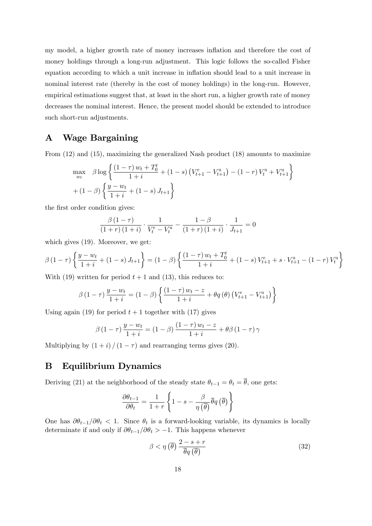my model, a higher growth rate of money increases inflation and therefore the cost of money holdings through a long-run adjustment. This logic follows the so-called Fisher equation according to which a unit increase in inflation should lead to a unit increase in nominal interest rate (thereby in the cost of money holdings) in the long-run. However, empirical estimations suggest that, at least in the short run, a higher growth rate of money decreases the nominal interest. Hence, the present model should be extended to introduce such short-run adjustments.

#### A Wage Bargaining

From (12) and (15), maximizing the generalized Nash product (18) amounts to maximize

$$
\max_{w_t} \beta \log \left\{ \frac{(1-\tau) w_t + T_0^t}{1+i} + (1-s) \left( V_{t+1}^e - V_{t+1}^u \right) - (1-r) V_t^u + V_{t+1}^u \right\} + (1-\beta) \left\{ \frac{y-w_t}{1+i} + (1-s) J_{t+1} \right\}
$$

the first order condition gives:

$$
\frac{\beta(1-\tau)}{(1+r)(1+i)} \cdot \frac{1}{V_t^e - V_t^u} - \frac{1-\beta}{(1+r)(1+i)} \cdot \frac{1}{J_{t+1}} = 0
$$

which gives (19). Moreover, we get:

$$
\beta (1 - \tau) \left\{ \frac{y - w_t}{1 + i} + (1 - s) J_{t+1} \right\} = (1 - \beta) \left\{ \frac{(1 - \tau) w_t + T_0^t}{1 + i} + (1 - s) V_{t+1}^e + s \cdot V_{t+1}^u - (1 - r) V_t^u \right\}
$$

With (19) written for period  $t + 1$  and (13), this reduces to:

$$
\beta (1 - \tau) \frac{y - w_t}{1 + i} = (1 - \beta) \left\{ \frac{(1 - \tau) w_t - z}{1 + i} + \theta q(\theta) (V_{t+1}^e - V_{t+1}^u) \right\}
$$

Using again (19) for period  $t + 1$  together with (17) gives

$$
\beta\left(1-\tau\right)\frac{y-w_t}{1+i} = \left(1-\beta\right)\frac{\left(1-\tau\right)w_t-z}{1+i} + \theta\beta\left(1-\tau\right)\gamma
$$

Multiplying by  $(1 + i)/(1 - \tau)$  and rearranging terms gives (20).

#### B Equilibrium Dynamics

Deriving (21) at the neighborhood of the steady state  $\theta_{t-1} = \theta_t = \overline{\theta}$ , one gets:

$$
\frac{\partial \theta_{t-1}}{\partial \theta_t} = \frac{1}{1+r}\left\{1-s-\frac{\beta}{\eta\left(\overline{\theta}\right)}\overline{\theta} q\left(\overline{\theta}\right)\right\}
$$

One has  $\partial \theta_{t-1}/\partial \theta_t < 1$ . Since  $\theta_t$  is a forward-looking variable, its dynamics is locally determinate if and only if  $\partial \theta_{t-1}/\partial \theta_t > -1$ . This happens whenever

$$
\beta < \eta\left(\overline{\theta}\right) \frac{2 - s + r}{\overline{\theta}q\left(\overline{\theta}\right)}\tag{32}
$$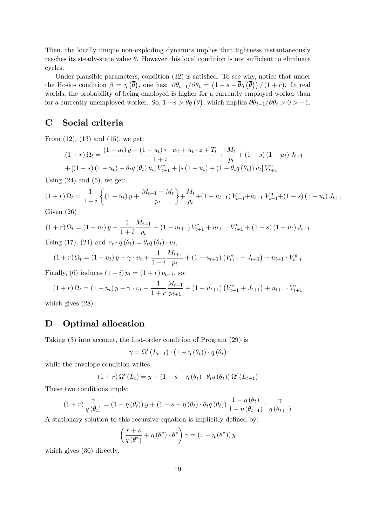Then, the locally unique non-exploding dynamics implies that tightness instantaneously reaches its steady-state value  $\theta$ . However this local condition is not sufficient to eliminate cycles.

Under plausible parameters, condition  $(32)$  is satisfied. To see why, notice that under the Hosios condition  $\beta = \eta(\bar{\theta})$ , one has:  $\partial \theta_{t-1}/\partial \theta_t = (1 - s - \bar{\theta}q(\bar{\theta}))/(1+r)$ . In real worlds, the probability of being employed is higher for a currently employed worker than for a currently unemployed worker. So,  $1-s > \bar{\theta}q(\bar{\theta})$ , which implies  $\partial \theta_{t-1}/\partial \theta_t > 0 > -1$ .

#### C Social criteria

From  $(12)$ ,  $(13)$  and  $(15)$ , we get:

$$
(1+r)\,\Omega_t = \frac{(1-u_t)\,y - (1-u_t)\,\tau \cdot w_t + u_t \cdot z + T_t}{1+i} + \frac{M_t}{p_t} + (1-s)\,(1-u_t)\,J_{t+1} + [(1-s)\,(1-u_t) + \theta_t q\,(\theta_t)\,u_t]\,V_{t+1}^{\text{e}}
$$

Using  $(24)$  and  $(5)$ , we get:

$$
(1+r)\,\Omega_t = \frac{1}{1+i}\left\{(1-u_t)\,y + \frac{M_{t+1}-M_t}{p_t}\right\} + \frac{M_t}{p_t} + (1-u_{t+1})\,V_{t+1}^{\text{e}} + u_{t+1}\cdot V_{t+1}^{\text{u}} + (1-s)\,(1-u_t)\,J_{t+1}
$$
 Given (26)

Given (26)

$$
(1+r)\,\Omega_t = (1-u_t)\,y + \frac{1}{1+i}\frac{M_{t+1}}{p_t} + (1-u_{t+1})\,V_{t+1}^{\text{e}} + u_{t+1}\cdot V_{t+1}^{\text{u}} + (1-s)\,(1-u_t)\,J_{t+1}
$$
\nUsing (17), (24) and  $v_t \cdot q(\theta_t) = \theta_t q(\theta_t) \cdot u_t$ ,

$$
(1+r)\,\Omega_t = (1-u_t)\,y - \gamma \cdot v_t + \frac{1}{1+i}\frac{M_{t+1}}{p_t} + (1-u_{t+1})\left(V_{t+1}^e + J_{t+1}\right) + u_{t+1} \cdot V_{t+1}^u
$$

Finally, (6) induces  $(1 + i) p_t = (1 + r) p_{t+1}$ , so:

$$
(1+r)\,\Omega_t = (1-u_t)\,y - \gamma \cdot v_t + \frac{1}{1+r}\frac{M_{t+1}}{p_{t+1}} + (1-u_{t+1})\left(V_{t+1}^e + J_{t+1}\right) + u_{t+1} \cdot V_{t+1}^u
$$

which gives (28).

#### D Optimal allocation

Taking  $(3)$  into account, the first-order condition of Program  $(29)$  is

$$
\gamma = \Omega' (L_{t+1}) \cdot (1 - \eta(\theta_t)) \cdot q(\theta_t)
$$

while the envelope condition writes

$$
(1+r)\Omega'(L_t) = y + (1 - s - \eta(\theta_t) \cdot \theta_t q(\theta_t)) \Omega'(L_{t+1})
$$

These two conditions imply:

$$
(1+r)\frac{\gamma}{q(\theta_t)} = (1-\eta(\theta_t))y + (1-s-\eta(\theta_t)\cdot\theta_t q(\theta_t))\frac{1-\eta(\theta_t)}{1-\eta(\theta_{t+1})}\cdot\frac{\gamma}{q(\theta_{t+1})}
$$

A stationary solution to this recursive equation is implicitly defined by:

$$
\left(\frac{r+s}{q(\theta^*)} + \eta(\theta^*) \cdot \theta^*\right) \gamma = \left(1 - \eta(\theta^*)\right) y
$$

which gives  $(30)$  directly.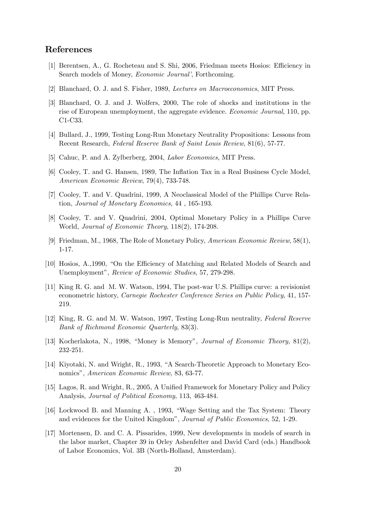#### References

- [1] Berentsen, A., G. Rocheteau and S. Shi, 2006, Friedman meets Hosios: Efficiency in Search models of Money, *Economic Journal*<sup>'</sup>, Forthcoming.
- [2] Blanchard, O. J. and S. Fisher, 1989, Lectures on Macroeconomics, MIT Press.
- [3] Blanchard, O. J. and J. Wolfers, 2000, The role of shocks and institutions in the rise of European unemployment, the aggregate evidence. Economic Journal, 110, pp. C1-C33.
- [4] Bullard, J., 1999, Testing Long-Run Monetary Neutrality Propositions: Lessons from Recent Research, Federal Reserve Bank of Saint Louis Review, 81(6), 57-77.
- [5] Cahuc, P. and A. Zylberberg, 2004, *Labor Economics*, MIT Press.
- [6] Cooley, T. and G. Hansen, 1989, The Inflation Tax in a Real Business Cycle Model, American Economic Review, 79(4), 733-748.
- [7] Cooley, T. and V. Quadrini, 1999, A Neoclassical Model of the Phillips Curve Relation, Journal of Monetary Economics, 44 , 165-193.
- [8] Cooley, T. and V. Quadrini, 2004, Optimal Monetary Policy in a Phillips Curve World, Journal of Economic Theory, 118(2), 174-208.
- [9] Friedman, M., 1968, The Role of Monetary Policy, American Economic Review, 58(1), 1-17.
- [10] Hosios, A., 1990, "On the Efficiency of Matching and Related Models of Search and Unemployment", Review of Economic Studies, 57, 279-298.
- [11] King R. G. and M. W. Watson, 1994, The post-war U.S. Phillips curve: a revisionist econometric history, Carnegie Rochester Conference Series on Public Policy, 41, 157- 219.
- [12] King, R. G. and M. W. Watson, 1997, Testing Long-Run neutrality, Federal Reserve Bank of Richmond Economic Quarterly, 83(3).
- [13] Kocherlakota, N., 1998, "Money is Memory", *Journal of Economic Theory*,  $81(2)$ , 232-251.
- [14] Kiyotaki, N. and Wright, R., 1993, "A Search-Theoretic Approach to Monetary Economics", American Economic Review, 83, 63-77.
- [15] Lagos, R. and Wright, R., 2005, A Unified Framework for Monetary Policy and Policy Analysis, Journal of Political Economy, 113, 463-484.
- [16] Lockwood B. and Manning A., 1993, "Wage Setting and the Tax System: Theory and evidences for the United Kingdom", *Journal of Public Economics*, 52, 1-29.
- [17] Mortensen, D. and C. A. Pissarides, 1999, New developments in models of search in the labor market, Chapter 39 in Orley Ashenfelter and David Card (eds.) Handbook of Labor Economics, Vol. 3B (North-Holland, Amsterdam).